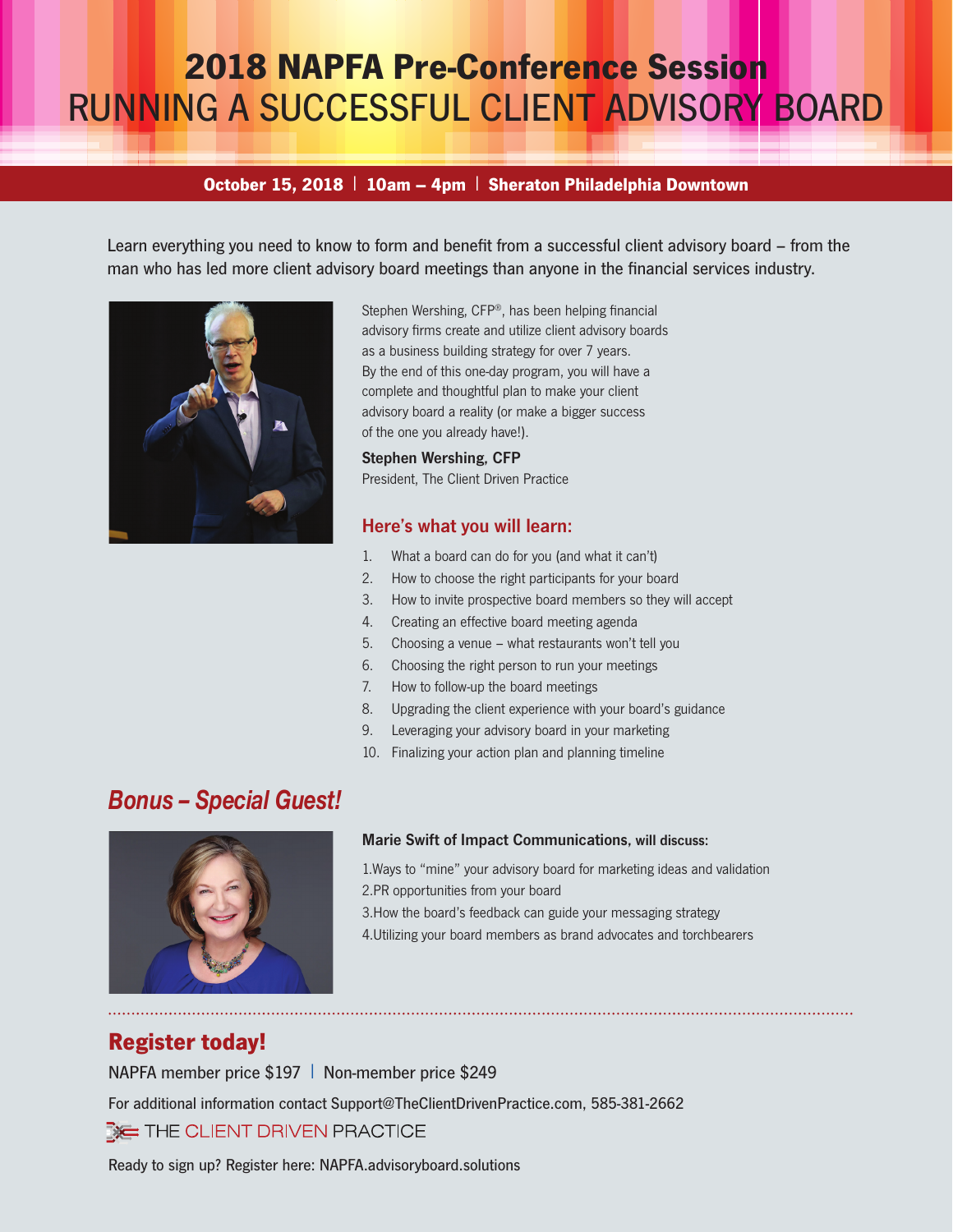# **2018 NAPFA Pre-Conference Session** RUNNING A SUCCESSFUL CLIENT ADVISORY BOARD

### **October 15, 2018** l **10am – 4pm** l **Sheraton Philadelphia Downtown**

Learn everything you need to know to form and benefit from a successful client advisory board – from the man who has led more client advisory board meetings than anyone in the financial services industry.



Stephen Wershing, CFP®, has been helping financial advisory firms create and utilize client advisory boards as a business building strategy for over 7 years. By the end of this one-day program, you will have a complete and thoughtful plan to make your client advisory board a reality (or make a bigger success of the one you already have!).

#### Stephen Wershing, CFP

President, The Client Driven Practice

### Here's what you will learn:

- 1. What a board can do for you (and what it can't)
- 2. How to choose the right participants for your board
- 3. How to invite prospective board members so they will accept
- 4. Creating an effective board meeting agenda
- 5. Choosing a venue what restaurants won't tell you
- 6. Choosing the right person to run your meetings
- 7. How to follow-up the board meetings
- 8. Upgrading the client experience with your board's guidance
- 9. Leveraging your advisory board in your marketing
- 10. Finalizing your action plan and planning timeline

# *Bonus – Special Guest!*



### Marie Swift of Impact Communications, will discuss:

1.Ways to "mine" your advisory board for marketing ideas and validation 2.PR opportunities from your board

3.How the board's feedback can guide your messaging strategy

4.Utilizing your board members as brand advocates and torchbearers

## **Register today!**

NAPFA member price \$197 | Non-member price \$249

For additional information contact Support@TheClientDrivenPractice.com, 585-381-2662

 $\mathbb{R}$  THE CLIENT DRIVEN PRACTICE

Ready to sign up? Register here: NAPFA.advisoryboard.solutions